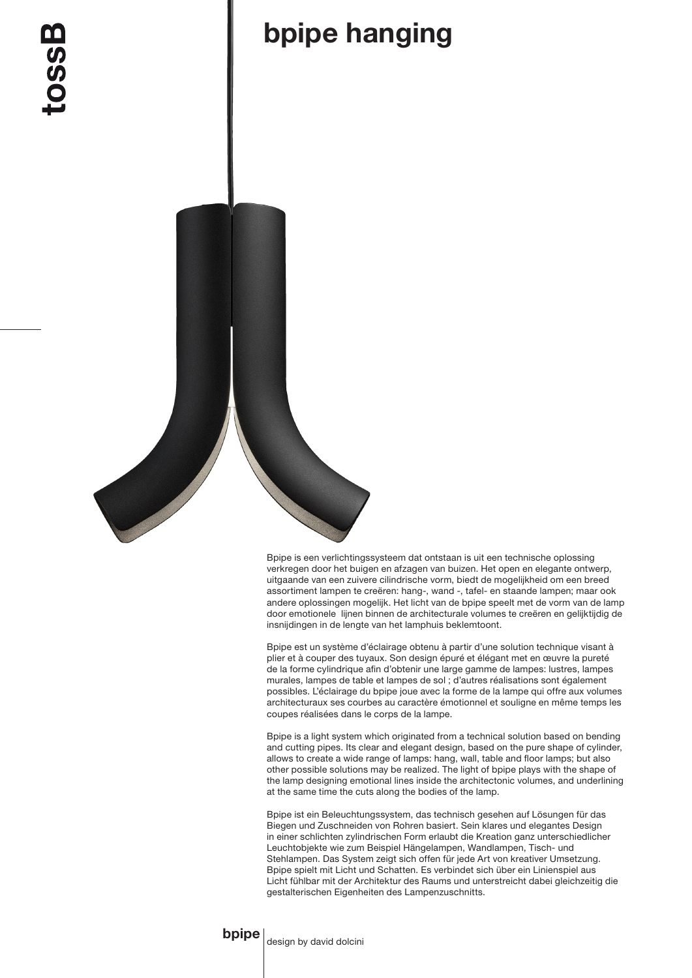## bpipe hanging

Bpipe is een verlichtingssysteem dat ontstaan is uit een technische oplossing verkregen door het buigen en afzagen van buizen. Het open en elegante ontwerp, uitgaande van een zuivere cilindrische vorm, biedt de mogelijkheid om een breed assortiment lampen te creëren: hang-, wand -, tafel- en staande lampen; maar ook andere oplossingen mogelijk. Het licht van de bpipe speelt met de vorm van de lamp door emotionele lijnen binnen de architecturale volumes te creëren en gelijktijdig de insnijdingen in de lengte van het lamphuis beklemtoont.

Bpipe est un système d'éclairage obtenu à partir d'une solution technique visant à plier et à couper des tuyaux. Son design épuré et élégant met en œuvre la pureté de la forme cylindrique afin d'obtenir une large gamme de lampes: lustres, lampes murales, lampes de table et lampes de sol ; d'autres réalisations sont également possibles. L'éclairage du bpipe joue avec la forme de la lampe qui offre aux volumes architecturaux ses courbes au caractère émotionnel et souligne en même temps les coupes réalisées dans le corps de la lampe.

Bpipe is a light system which originated from a technical solution based on bending and cutting pipes. Its clear and elegant design, based on the pure shape of cylinder, allows to create a wide range of lamps: hang, wall, table and floor lamps; but also other possible solutions may be realized. The light of bpipe plays with the shape of the lamp designing emotional lines inside the architectonic volumes, and underlining at the same time the cuts along the bodies of the lamp.

Bpipe ist ein Beleuchtungssystem, das technisch gesehen auf Lösungen für das Biegen und Zuschneiden von Rohren basiert. Sein klares und elegantes Design in einer schlichten zylindrischen Form erlaubt die Kreation ganz unterschiedlicher Leuchtobjekte wie zum Beispiel Hängelampen, Wandlampen, Tisch- und Stehlampen. Das System zeigt sich offen für jede Art von kreativer Umsetzung. Bpipe spielt mit Licht und Schatten. Es verbindet sich über ein Linienspiel aus Licht fühlbar mit der Architektur des Raums und unterstreicht dabei gleichzeitig die gestalterischen Eigenheiten des Lampenzuschnitts.